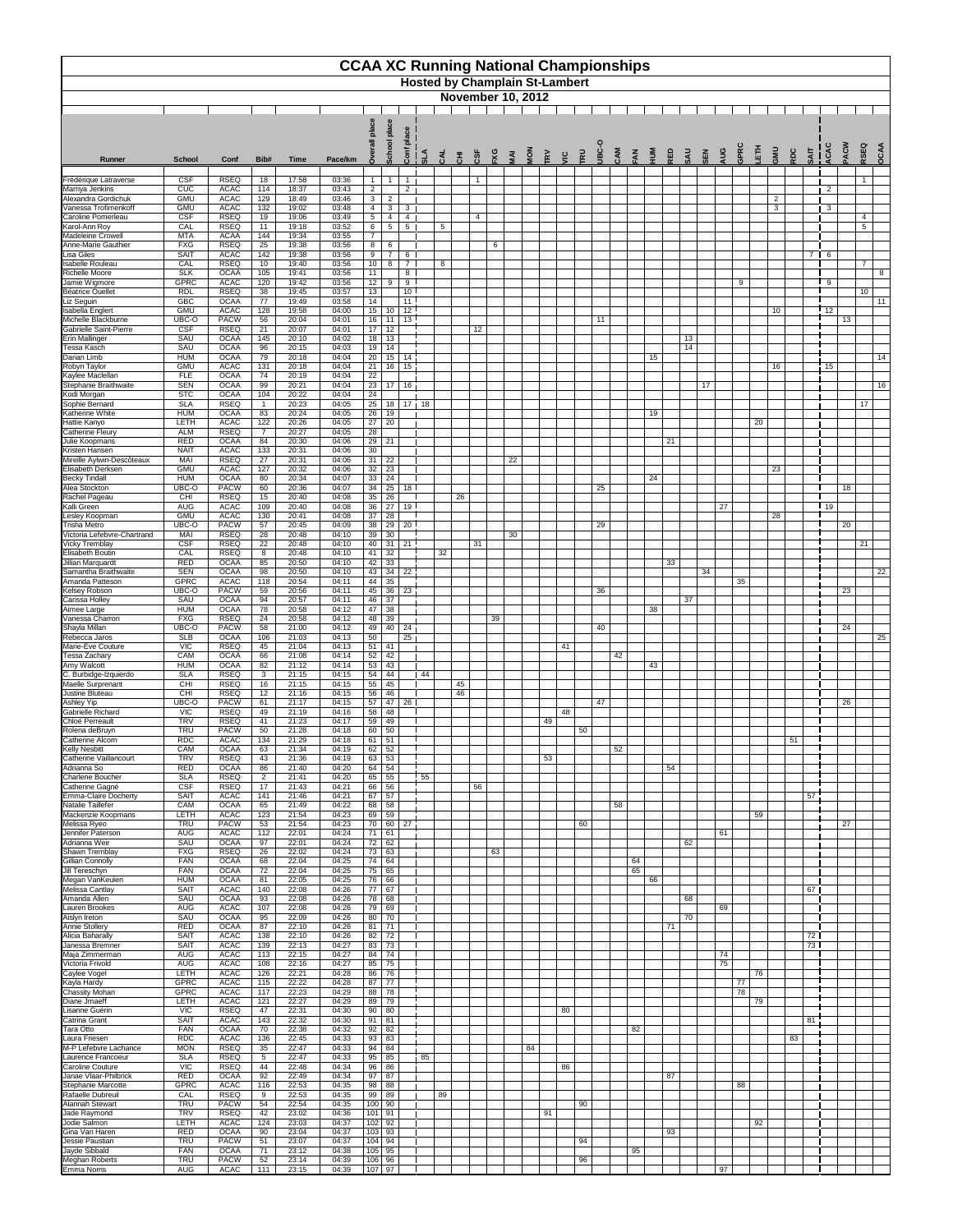|                                                    |                            |                            |                       |                |                |                                  |                                |                                    |                         |                 |    |        |     |                |                          | <b>CCAA XC Running National Championships</b> |            |            |     |         |                |     |            |     |     |          |    |                     |     |             |              |                 |      |
|----------------------------------------------------|----------------------------|----------------------------|-----------------------|----------------|----------------|----------------------------------|--------------------------------|------------------------------------|-------------------------|-----------------|----|--------|-----|----------------|--------------------------|-----------------------------------------------|------------|------------|-----|---------|----------------|-----|------------|-----|-----|----------|----|---------------------|-----|-------------|--------------|-----------------|------|
|                                                    |                            |                            |                       |                |                |                                  |                                |                                    |                         |                 |    |        |     |                |                          | <b>Hosted by Champlain St-Lambert</b>         |            |            |     |         |                |     |            |     |     |          |    |                     |     |             |              |                 |      |
|                                                    |                            |                            |                       |                |                |                                  |                                |                                    |                         |                 |    |        |     |                | <b>November 10, 2012</b> |                                               |            |            |     |         |                |     |            |     |     |          |    |                     |     |             |              |                 |      |
|                                                    |                            |                            |                       |                |                |                                  | plac                           | ace                                |                         |                 |    |        |     |                |                          |                                               |            |            |     |         |                |     |            |     |     |          |    |                     |     |             |              |                 |      |
|                                                    |                            |                            |                       |                |                |                                  | School                         | ᇗ                                  |                         |                 |    |        |     |                |                          |                                               |            | <b>JBC</b> |     |         |                |     |            |     |     |          | 高  |                     |     |             | ACW<br>ACAC  | RSEQ            | OCAA |
| <b>Runner</b>                                      | <b>School</b>              | Conf                       | Bib#                  | <b>Time</b>    | Pace/km        | ລ້                               |                                |                                    | <u>ទី   3</u><br>ទី   4 | CAL             | 동  | $c$ SF | ΡX. | $\overline{M}$ | $rac{2}{9}$              | $\tilde{R}$<br>$\tilde{a}$                    | <b>TRU</b> |            | CAM | $= A N$ | $\overline{P}$ | RED | <b>UVS</b> | SEN | AUG | GPR      |    | UMS                 | RDC | <b>SAIT</b> |              |                 |      |
| Frédérique Latraverse<br>Marriya Jenkins           | <b>CSF</b><br>CUC          | <b>RSEQ</b><br><b>ACAC</b> | 18<br>114             | 17:58<br>18:37 | 03:36<br>03:43 | $\mathbf{1}$<br>$\overline{2}$   | $\overline{1}$                 | $\overline{1}$<br>$\overline{2}$   |                         |                 |    | -1     |     |                |                          |                                               |            |            |     |         |                |     |            |     |     |          |    |                     |     |             | $\mathbf{2}$ | $\mathbf{1}$    |      |
| Alexandra Gordichuk<br>Vanessa Trofimenkoff        | <b>GMU</b><br><b>GMU</b>   | <b>ACAC</b><br><b>ACAC</b> | 129<br>132            | 18:49<br>19:02 | 03:46<br>03:48 | 3 <sup>1</sup><br>$\overline{4}$ | $\overline{2}$<br>$\mathbf{3}$ | 3 <sup>1</sup>                     |                         |                 |    |        |     |                |                          |                                               |            |            |     |         |                |     |            |     |     |          |    | $\overline{2}$<br>3 |     |             | $\mathbf{3}$ |                 |      |
| Caroline Pomerleau<br>Karol-Ann Roy                | <b>CSF</b><br>CAL          | <b>RSEQ</b><br><b>RSEQ</b> | 19<br>11              | 19:06<br>19:18 | 03:49<br>03:52 | 5 <sup>5</sup><br>6 <sup>1</sup> | $\overline{4}$<br>$\sqrt{5}$   | $\overline{4}$<br>$5\overline{5}$  |                         | $5\phantom{.0}$ |    | 4      |     |                |                          |                                               |            |            |     |         |                |     |            |     |     |          |    |                     |     |             |              | 4<br>5          |      |
| <b>Madeleine Crowell</b><br>Anne-Marie Gauthier    | <b>MTA</b><br><b>FXG</b>   | <b>ACAA</b><br><b>RSEQ</b> | 144<br>25             | 19:34<br>19:38 | 03:55<br>03:56 | $\overline{7}$<br>8              | 6                              |                                    |                         |                 |    |        | 6   |                |                          |                                               |            |            |     |         |                |     |            |     |     |          |    |                     |     |             |              |                 |      |
| Lisa Giles<br><b>Isabelle Rouleau</b>              | <b>SAIT</b><br>CAL         | <b>ACAC</b><br><b>RSEQ</b> | 142<br>10             | 19:38<br>19:40 | 03:56<br>03:56 | 9<br>10 <sub>1</sub>             | 7<br>8                         | 6<br>$\overline{7}$                |                         | 8               |    |        |     |                |                          |                                               |            |            |     |         |                |     |            |     |     |          |    |                     |     |             | 7   6        | $\overline{7}$  |      |
| Richelle Moore<br>Jamie Wigmore                    | <b>SLK</b><br><b>GPRC</b>  | <b>OCAA</b><br><b>ACAC</b> | 105<br>120            | 19:41<br>19:42 | 03:56<br>03:56 | 11<br>12 <sub>2</sub>            | 9                              | 8 <sup>1</sup><br>9                |                         |                 |    |        |     |                |                          |                                               |            |            |     |         |                |     |            |     |     | 9        |    |                     |     |             | 9            |                 | 8    |
| Béatrice Ouellet<br>Liz Seguin                     | <b>RDL</b><br><b>GBC</b>   | <b>RSEQ</b><br><b>OCAA</b> | 38<br>77              | 19:45<br>19:49 | 03:57<br>03:58 | 13<br>14                         |                                | 10 <sup>1</sup><br>$\overline{11}$ |                         |                 |    |        |     |                |                          |                                               |            |            |     |         |                |     |            |     |     |          |    |                     |     |             |              | 10 <sup>°</sup> | 11   |
| Isabella Englert<br>Michelle Blackburne            | <b>GMU</b><br>UBC-O        | <b>ACAC</b><br><b>PACW</b> | 128<br>56             | 19:58<br>20:04 | 04:00<br>04:01 | 15                               | 10<br>$16$ 11                  | $\overline{12}$<br>13 <sup>1</sup> |                         |                 |    |        |     |                |                          |                                               |            | 11         |     |         |                |     |            |     |     |          |    | 10                  |     |             | 12<br>13     |                 |      |
| Gabrielle Saint-Pierre<br><b>Erin Mallinger</b>    | <b>CSF</b><br>SAU          | <b>RSEQ</b><br><b>OCAA</b> | 21<br>145             | 20:07<br>20:10 | 04:01<br>04:02 | 17                               | 12<br>$18$   13                |                                    |                         |                 |    | 12     |     |                |                          |                                               |            |            |     |         |                |     | 13         |     |     |          |    |                     |     |             |              |                 |      |
| <b>Tessa Kasch</b><br>Darian Limb                  | SAU<br><b>HUM</b>          | <b>OCAA</b><br><b>OCAA</b> | 96<br>79              | 20:15<br>20:18 | 04:03<br>04:04 | 19<br>20                         | 14<br>15                       | 14                                 |                         |                 |    |        |     |                |                          |                                               |            |            |     |         | 15             |     | 14         |     |     |          |    |                     |     |             |              |                 | 14   |
| Robyn Taylor<br>Kaylee Maclellan                   | <b>GMU</b><br><b>FLE</b>   | <b>ACAC</b><br><b>OCAA</b> | 131<br>74             | 20:18<br>20:19 | 04:04<br>04:04 | 21<br>22                         | 16                             | 15                                 |                         |                 |    |        |     |                |                          |                                               |            |            |     |         |                |     |            |     |     |          |    | 16                  |     |             | 15           |                 |      |
| Stephanie Braithwaite<br>Kodi Morgan               | <b>SEN</b><br><b>STC</b>   | <b>OCAA</b><br><b>OCAA</b> | 99<br>104             | 20:21<br>20:22 | 04:04<br>04:04 | 23<br>24                         | 17                             | 16 <sub>1</sub>                    |                         |                 |    |        |     |                |                          |                                               |            |            |     |         |                |     |            | 17  |     |          |    |                     |     |             |              |                 | 16   |
| Sophie Bernard<br>Katherine White                  | <b>SLA</b><br><b>HUM</b>   | <b>RSEQ</b><br><b>OCAA</b> | $\overline{1}$<br>83  | 20:23<br>20:24 | 04:05<br>04:05 | 25<br>26                         | 18<br>19                       |                                    | $17 - 18$               |                 |    |        |     |                |                          |                                               |            |            |     |         | 19             |     |            |     |     |          |    |                     |     |             |              | 17              |      |
| Hattie Kanyo<br><b>Catherine Fleury</b>            | <b>LETH</b><br><b>ALM</b>  | <b>ACAC</b><br><b>RSEQ</b> | 122<br>$\overline{7}$ | 20:26<br>20:27 | 04:05<br>04:05 | $\overline{27}$<br>28            | 20                             |                                    |                         |                 |    |        |     |                |                          |                                               |            |            |     |         |                |     |            |     |     |          | 20 |                     |     |             |              |                 |      |
| Julie Koopmans<br>Kristen Hansen                   | <b>RED</b><br><b>NAIT</b>  | <b>OCAA</b><br><b>ACAC</b> | 84<br>133             | 20:30          | 04:06          |                                  | $29$ 21                        |                                    |                         |                 |    |        |     |                |                          |                                               |            |            |     |         |                | 21  |            |     |     |          |    |                     |     |             |              |                 |      |
| Mireille Aylwin-Descôteaux                         | MAI                        | <b>RSEQ</b>                | 27                    | 20:31<br>20:31 | 04:06<br>04:06 | 30<br>31                         | 22                             |                                    |                         |                 |    |        |     | 22             |                          |                                               |            |            |     |         |                |     |            |     |     |          |    |                     |     |             |              |                 |      |
| Elisabeth Derksen<br><b>Becky Tindall</b>          | <b>GMU</b><br><b>HUM</b>   | <b>ACAC</b><br><b>OCAA</b> | 127<br>80             | 20:32<br>20:34 | 04:06<br>04:07 | 32<br>33                         | 23<br>24                       |                                    |                         |                 |    |        |     |                |                          |                                               |            |            |     |         | 24             |     |            |     |     |          |    | 23                  |     |             |              |                 |      |
| Alea Stockton<br>Rachel Pageau                     | UBC-O<br>CHI               | <b>PACW</b><br><b>RSEQ</b> | 60<br>15              | 20:36<br>20:40 | 04:07<br>04:08 | 34<br>35                         | 25<br>26                       | 18 <sup>1</sup>                    |                         |                 | 26 |        |     |                |                          |                                               |            | 25         |     |         |                |     |            |     |     |          |    |                     |     |             | 18           |                 |      |
| Kalli Green<br>Lesley Koopman                      | <b>AUG</b><br><b>GMU</b>   | <b>ACAC</b><br><b>ACAC</b> | 109<br>130            | 20:40<br>20:41 | 04:08<br>04:08 | 36<br>37                         | 27<br>28                       | 19 I                               |                         |                 |    |        |     |                |                          |                                               |            |            |     |         |                |     |            |     | 27  |          |    | 28                  |     |             | 19           |                 |      |
| <b>Trisha Metro</b><br>Victoria Lefebvre-Chartrand | UBC-O<br>MAI               | <b>PACW</b><br><b>RSEQ</b> | 57<br>28              | 20:45<br>20:48 | 04:09<br>04:10 | 38<br>39                         | 29<br>$\overline{30}$          | 20                                 |                         |                 |    |        |     | 30             |                          |                                               |            | 29         |     |         |                |     |            |     |     |          |    |                     |     |             | 20           |                 |      |
| <b>Vicky Tremblay</b><br>Elisabeth Boutin          | <b>CSF</b><br>CAL          | <b>RSEQ</b><br><b>RSEQ</b> | 22<br>8               | 20:48<br>20:48 | 04:10<br>04:10 | 41                               | $40 \mid 31$<br>32             | 21                                 |                         | 32              |    | 31     |     |                |                          |                                               |            |            |     |         |                |     |            |     |     |          |    |                     |     |             |              | 21              |      |
| Jillian Marquardt<br>Samantha Braithwaite          | <b>RED</b><br><b>SEN</b>   | <b>OCAA</b><br><b>OCAA</b> | 85<br>98              | 20:50<br>20:50 | 04:10<br>04:10 | 42<br>43                         | 33<br>34                       | 22                                 |                         |                 |    |        |     |                |                          |                                               |            |            |     |         |                | 33  |            | 34  |     |          |    |                     |     |             |              |                 | 22   |
| Amanda Patteson<br><b>Kelsey Robson</b>            | <b>GPRC</b><br>UBC-O       | <b>ACAC</b><br><b>PACW</b> | 118<br>59             | 20:54<br>20:56 | 04:11<br>04:11 | 44<br>45                         | 35<br>36                       | 23                                 |                         |                 |    |        |     |                |                          |                                               |            | 36         |     |         |                |     |            |     |     | 35       |    |                     |     |             | 23           |                 |      |
| Carissa Holley<br>Aimee Large                      | SAU<br><b>HUM</b>          | <b>OCAA</b><br><b>OCAA</b> | 94<br>78              | 20:57<br>20:58 | 04:11<br>04:12 | 46<br>47                         | 37<br>38                       |                                    |                         |                 |    |        |     |                |                          |                                               |            |            |     |         | 38             |     | 37         |     |     |          |    |                     |     |             |              |                 |      |
| Vanessa Charron<br>Shayla Millan                   | <b>FXG</b><br>UBC-O        | <b>RSEQ</b><br><b>PACW</b> | 24<br>58              | 20:58<br>21:00 | 04:12<br>04:12 | 48<br>49                         | 39<br>40                       | 24                                 |                         |                 |    |        | 39  |                |                          |                                               |            | 40         |     |         |                |     |            |     |     |          |    |                     |     |             | 24           |                 |      |
| Rebecca Jaros<br>Marie-Ève Couture                 | <b>SLB</b><br>VIC          | <b>OCAA</b><br><b>RSEQ</b> | 106<br>45             | 21:03<br>21:04 | 04:13<br>04:13 | 50                               | $51$ 41                        | 25                                 |                         |                 |    |        |     |                |                          | 41                                            |            |            |     |         |                |     |            |     |     |          |    |                     |     |             |              |                 | 25   |
| <b>Tessa Zachary</b><br>Amy Walcott                | CAM<br><b>HUM</b>          | <b>OCAA</b><br><b>OCAA</b> | 66<br>82              | 21:08<br>21:12 | 04:14<br>04:14 | 52                               | 42<br>$53 \mid 43$             |                                    |                         |                 |    |        |     |                |                          |                                               |            |            | 42  |         | 43             |     |            |     |     |          |    |                     |     |             |              |                 |      |
| C. Burbidge-Izquierdo<br><b>Maelle Surprenant</b>  | <b>SLA</b><br><b>CHI</b>   | <b>RSEQ</b><br><b>RSEQ</b> | 3<br>16               | 21:15<br>21:15 | 04:15<br>04:15 | 54<br>55                         | 44<br>45                       |                                    | $\blacksquare$ 44       |                 | 45 |        |     |                |                          |                                               |            |            |     |         |                |     |            |     |     |          |    |                     |     |             |              |                 |      |
| Justine Bluteau<br>Ashley Yip                      | <b>CHI</b><br>UBC-O        | <b>RSEQ</b><br><b>PACW</b> | 12<br>61              | 21:16<br>21:17 | 04:15<br>04:15 | 56<br>57                         | 46<br>47                       | 26 <sup>1</sup>                    |                         |                 | 46 |        |     |                |                          |                                               |            | 47         |     |         |                |     |            |     |     |          |    |                     |     |             | 26           |                 |      |
| Gabrielle Richard<br>Chloé Perreault               | <b>VIC</b><br><b>TRV</b>   | <b>RSEQ</b><br><b>RSEQ</b> | 49<br>41              | 21:19<br>21:23 | 04:16<br>04:17 | 58<br>59                         | 48<br>49                       |                                    |                         |                 |    |        |     |                |                          | 48<br>49                                      |            |            |     |         |                |     |            |     |     |          |    |                     |     |             |              |                 |      |
| Rolena deBruyn<br>Catherine Alcorn                 | <b>TRU</b><br><b>RDC</b>   | <b>PACW</b><br><b>ACAC</b> | 50<br>134             | 21:28<br>21:29 | 04:18<br>04:18 | 60<br>61                         | 50<br>51                       |                                    |                         |                 |    |        |     |                |                          |                                               | 50         |            |     |         |                |     |            |     |     |          |    |                     | 51  |             |              |                 |      |
| <b>Kelly Nesbitt</b><br>Catherine Vaillancourt     | CAM<br><b>TRV</b>          | <b>OCAA</b><br><b>RSEQ</b> | 63<br>43              | 21:34<br>21:36 | 04:19<br>04:19 | 62                               | 52<br>$63 \mid 53$             |                                    |                         |                 |    |        |     |                |                          | 53                                            |            |            | 52  |         |                |     |            |     |     |          |    |                     |     |             |              |                 |      |
| Adrianna So<br>Charlene Boucher                    | <b>RED</b><br><b>SLA</b>   | <b>OCAA</b><br><b>RSEQ</b> | 86                    | 21:40<br>21:41 | 04:20<br>04:20 |                                  | $64 \mid 54$<br>$65$ 55        |                                    | $\overline{55}$         |                 |    |        |     |                |                          |                                               |            |            |     |         |                | 54  |            |     |     |          |    |                     |     |             |              |                 |      |
| Catherine Gagné                                    | <b>CSF</b>                 | <b>RSEQ</b>                | $\overline{2}$<br>17  | 21:43          | 04:21          | 66                               | 56                             |                                    |                         |                 |    | 56     |     |                |                          |                                               |            |            |     |         |                |     |            |     |     |          |    |                     |     |             |              |                 |      |
| Emma-Claire Docherty<br>Natalie Taillefer          | <b>SAIT</b><br>CAM         | <b>ACAC</b><br><b>OCAA</b> | 141<br>65             | 21:46<br>21:49 | 04:21<br>04:22 | 67<br>68                         | 57<br>58                       |                                    |                         |                 |    |        |     |                |                          |                                               |            |            | 58  |         |                |     |            |     |     |          |    |                     |     | 57          |              |                 |      |
| Mackenzie Koopmans<br>Melissa Ryeo                 | <b>LETH</b><br><b>TRU</b>  | <b>ACAC</b><br><b>PACW</b> | 123<br>53             | 21:54<br>21:54 | 04:23<br>04:23 | 69<br>70                         | 59<br>60                       | 27                                 |                         |                 |    |        |     |                |                          |                                               | 60         |            |     |         |                |     |            |     |     |          | 59 |                     |     |             | 27           |                 |      |
| Jennifer Paterson<br>Adrianna Weir                 | <b>AUG</b><br>SAU          | <b>ACAC</b><br><b>OCAA</b> | 112<br>97             | 22:01<br>22:01 | 04:24<br>04:24 | 71<br>72                         | 61<br>62                       |                                    |                         |                 |    |        |     |                |                          |                                               |            |            |     |         |                |     | 62         |     | 61  |          |    |                     |     |             |              |                 |      |
| Shawn Tremblay<br>Gillian Connolly                 | <b>FXG</b><br><b>FAN</b>   | <b>RSEQ</b><br><b>OCAA</b> | 26<br>68              | 22:02<br>22:04 | 04:24<br>04:25 | 73<br>74                         | 63<br>64                       |                                    |                         |                 |    |        | 63  |                |                          |                                               |            |            |     | 64      |                |     |            |     |     |          |    |                     |     |             |              |                 |      |
| Jill Tereschyn<br>Megan VanKeulen                  | <b>FAN</b><br><b>HUM</b>   | <b>OCAA</b><br><b>OCAA</b> | 72<br>81              | 22:04<br>22:05 | 04:25<br>04:25 | 75                               | 65<br>76 66                    |                                    |                         |                 |    |        |     |                |                          |                                               |            |            |     | 65      | 66             |     |            |     |     |          |    |                     |     |             |              |                 |      |
| Melissa Cantlay<br>Amanda Allen                    | <b>SAIT</b><br>SAU         | <b>ACAC</b><br><b>OCAA</b> | 140<br>93             | 22:08<br>22:08 | 04:26<br>04:26 | 78                               | $77$ 67<br>68                  |                                    |                         |                 |    |        |     |                |                          |                                               |            |            |     |         |                |     | 68         |     |     |          |    |                     |     | 67          |              |                 |      |
| Lauren Brookes<br>Aislyn Ireton                    | <b>AUG</b><br>SAU          | <b>ACAC</b><br><b>OCAA</b> | 107<br>95             | 22:08<br>22:09 | 04:26<br>04:26 | 79<br>80                         | 69<br>70                       |                                    |                         |                 |    |        |     |                |                          |                                               |            |            |     |         |                |     | 70         |     | 69  |          |    |                     |     |             |              |                 |      |
| Annie Stollery<br>Alicia Baharally                 | <b>RED</b><br><b>SAIT</b>  | <b>OCAA</b><br><b>ACAC</b> | 87<br>138             | 22:10<br>22:10 | 04:26<br>04:26 | 81<br>82                         | 71<br>72                       |                                    |                         |                 |    |        |     |                |                          |                                               |            |            |     |         |                | 71  |            |     |     |          |    |                     |     | 72          |              |                 |      |
| Janessa Bremner<br>Maja Zimmerman                  | <b>SAIT</b><br><b>AUG</b>  | <b>ACAC</b><br><b>ACAC</b> | 139<br>113            | 22:13<br>22:15 | 04:27<br>04:27 | 83<br>84                         | 73<br>74                       |                                    |                         |                 |    |        |     |                |                          |                                               |            |            |     |         |                |     |            |     | 74  |          |    |                     |     | 73          |              |                 |      |
| Victoria Frivold<br>Caylee Vogel                   | <b>AUG</b><br><b>LETH</b>  | <b>ACAC</b><br><b>ACAC</b> | 108<br>126            | 22:16<br>22:21 | 04:27<br>04:28 | 85<br>86                         | 75<br>76                       |                                    |                         |                 |    |        |     |                |                          |                                               |            |            |     |         |                |     |            |     | 75  |          | 76 |                     |     |             |              |                 |      |
| Kayla Hardy<br><b>Chassity Mohan</b>               | <b>GPRC</b><br><b>GPRC</b> | <b>ACAC</b><br><b>ACAC</b> | 115<br>117            | 22:22<br>22:23 | 04:28<br>04:29 | 87                               | $\overline{77}$<br>88 78       |                                    |                         |                 |    |        |     |                |                          |                                               |            |            |     |         |                |     |            |     |     | 77<br>78 |    |                     |     |             |              |                 |      |
| Diane Jmaeff<br>Lisanne Guérin                     | <b>LETH</b><br><b>VIC</b>  | <b>ACAC</b><br><b>RSEQ</b> | 121<br>47             | 22:27<br>22:31 | 04:29<br>04:30 | 90                               | 89 79<br>80                    |                                    |                         |                 |    |        |     |                |                          | 80                                            |            |            |     |         |                |     |            |     |     |          | 79 |                     |     |             |              |                 |      |
| Catrina Grant<br>Tara Otto                         | <b>SAIT</b><br><b>FAN</b>  | <b>ACAC</b><br><b>OCAA</b> | 143<br>70             | 22:32<br>22:38 | 04:30<br>04:32 | 91<br>92                         | 81<br>82                       |                                    |                         |                 |    |        |     |                |                          |                                               |            |            |     | 82      |                |     |            |     |     |          |    |                     |     | 81          |              |                 |      |
| Laura Friesen<br>M-P Lefebvre Lachance             | <b>RDC</b><br><b>MON</b>   | <b>ACAC</b><br><b>RSEQ</b> | 136<br>35             | 22:45<br>22:47 | 04:33<br>04:33 | 93<br>94                         | 83<br>84                       |                                    |                         |                 |    |        |     |                | 84                       |                                               |            |            |     |         |                |     |            |     |     |          |    |                     | 83  |             |              |                 |      |
| Laurence Francoeur<br>Caroline Couture             | <b>SLA</b><br><b>VIC</b>   | <b>RSEQ</b><br><b>RSEQ</b> | $\overline{5}$<br>44  | 22:47<br>22:48 | 04:33<br>04:34 | 95<br>96                         | 85<br>86                       |                                    | 85                      |                 |    |        |     |                |                          | 86                                            |            |            |     |         |                |     |            |     |     |          |    |                     |     |             |              |                 |      |
| Janae Vlaar-Philbrick<br>Stephanie Marcotte        | <b>RED</b><br><b>GPRC</b>  | <b>OCAA</b><br><b>ACAC</b> | 92<br>116             | 22:49<br>22:53 | 04:34<br>04:35 | 97                               | 87<br>$98$ 88                  |                                    |                         |                 |    |        |     |                |                          |                                               |            |            |     |         |                | 87  |            |     |     | 88       |    |                     |     |             |              |                 |      |
| Rafaelle Dubreuil<br>Alannah Stewart               | CAL<br><b>TRU</b>          | <b>RSEQ</b><br><b>PACW</b> | 9<br>54               | 22:53<br>22:54 | 04:35<br>04:35 |                                  | 99 89<br>$100$ 90              |                                    |                         | 89              |    |        |     |                |                          |                                               | 90         |            |     |         |                |     |            |     |     |          |    |                     |     |             |              |                 |      |
| Jade Raymond<br>Jodie Salmon                       | <b>TRV</b><br><b>LETH</b>  | <b>RSEQ</b><br><b>ACAC</b> | 42<br>124             | 23:02<br>23:03 | 04:36<br>04:37 |                                  | $101$ 91<br>$102$ 92           |                                    |                         |                 |    |        |     |                |                          | 91                                            |            |            |     |         |                |     |            |     |     |          | 92 |                     |     |             |              |                 |      |
| Gina Van Haren<br>Jessie Paustian                  | <b>RED</b><br><b>TRU</b>   | <b>OCAA</b><br><b>PACW</b> | 90<br>51              | 23:04<br>23:07 | 04:37<br>04:37 |                                  | $103$ 93<br>$104$ 94           |                                    |                         |                 |    |        |     |                |                          |                                               | 94         |            |     |         |                | 93  |            |     |     |          |    |                     |     |             |              |                 |      |
| Jayde Sibbald                                      | <b>FAN</b>                 | <b>OCAA</b>                | 71                    | 23:12          | 04:38          |                                  | $105$ 95                       |                                    |                         |                 |    |        |     |                |                          |                                               |            |            |     | 95      |                |     |            |     |     |          |    |                     |     |             |              |                 |      |
| <b>Meghan Roberts</b><br>Emma Norris               | <b>TRU</b><br><b>AUG</b>   | <b>PACW</b><br><b>ACAC</b> | 52<br>111             | 23:14<br>23:15 | 04:39<br>04:39 |                                  | 106 96<br>$107$ 97             |                                    |                         |                 |    |        |     |                |                          |                                               | 96         |            |     |         |                |     |            |     | 97  |          |    |                     |     |             |              |                 |      |